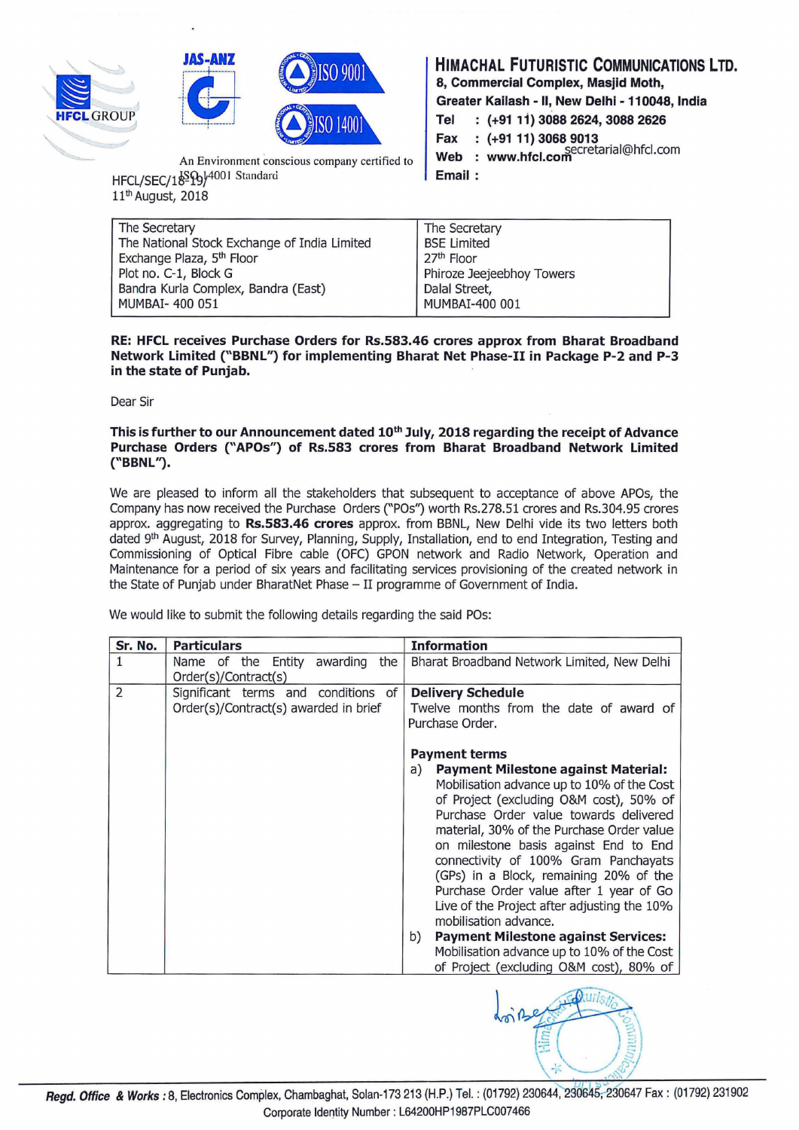





An Environment conscious company certified to HFCL/SEC/18994001 Standard 11<sup>th</sup> August, 2018

**HIMACHAL FUTURISTIC COMMUNICATIONS LTD.** 

**8, Commercial Complex, Masjid Moth,** 

**Greater Kailash - II, New Delhi - 11 0048, India** 

**Tel (+91 11) 3088 2624,3088 2626** 

**Fax (+91 11) 3068 9013** 

**Web** : www.hfcl.com Secretarial@hfcl.com

**Email** :

| The Secretary                                | The Secretary             |  |
|----------------------------------------------|---------------------------|--|
| The National Stock Exchange of India Limited | <b>BSE Limited</b>        |  |
| Exchange Plaza, 5 <sup>th</sup> Floor        | 27th Floor                |  |
| Plot no. C-1, Block G                        | Phiroze Jeejeebhoy Towers |  |
| Bandra Kurla Complex, Bandra (East)          | Dalal Street,             |  |
| MUMBAI- 400 051                              | MUMBAI-400 001            |  |
|                                              |                           |  |

**RE: HFCL receives Purchase Orders for Rs.583.46 crores approx from Bharat Broadband Network Limited ("BBNL'1 for implementing Bharat Net Phase-II in Package P-2 and P-3 in the state of Punjab.** 

Dear Sir

## This is further to our Announcement dated 10<sup>th</sup> July, 2018 regarding the receipt of Advance **Purchase Orders ("APOs") of Rs.583 crores from Bharat Broadband Network Limited**  ("BBNL").

We are pleased to inform all the stakeholders that subsequent to acceptance of above APOs, the Company has now received the Purchase Orders ("POs") worth Rs.278.51 crores and Rs.304.95 crores approx. aggregating to **Rs.583.46 crores** approx. from BBNL, New Delhi vide its two letters both dated 9<sup>th</sup> August, 2018 for Survey, Planning, Supply, Installation, end to end Integration, Testing and Commissioning of Optical Fibre cable (OFC) GPON network and Radio Network, Operation and Maintenance for a period of six years and facilitating services provisioning of the created network in the State of Punjab under BharatNet Phase- II programme of Government of India.

We would like to submit the following details regarding the said POs:

| Sr. No. | <b>Particulars</b><br><b>Information</b>                                                                                                                                                                                                                                                                                                                                                                                                                                                                                                                                                                 |
|---------|----------------------------------------------------------------------------------------------------------------------------------------------------------------------------------------------------------------------------------------------------------------------------------------------------------------------------------------------------------------------------------------------------------------------------------------------------------------------------------------------------------------------------------------------------------------------------------------------------------|
| 1.      | Entity awarding<br>Name of the<br>the<br>Bharat Broadband Network Limited, New Delhi                                                                                                                                                                                                                                                                                                                                                                                                                                                                                                                     |
|         | Order(s)/Contract(s)                                                                                                                                                                                                                                                                                                                                                                                                                                                                                                                                                                                     |
| 2       | Significant terms and conditions of<br><b>Delivery Schedule</b><br>Order(s)/Contract(s) awarded in brief<br>Twelve months from the date of award of<br>Purchase Order.                                                                                                                                                                                                                                                                                                                                                                                                                                   |
|         | <b>Payment terms</b><br><b>Payment Milestone against Material:</b><br>a)<br>Mobilisation advance up to 10% of the Cost<br>of Project (excluding O&M cost), 50% of<br>Purchase Order value towards delivered<br>material, 30% of the Purchase Order value<br>on milestone basis against End to End<br>connectivity of 100% Gram Panchayats<br>(GPs) in a Block, remaining 20% of the<br>Purchase Order value after 1 year of Go<br>Live of the Project after adjusting the 10%<br>mobilisation advance.<br><b>Payment Milestone against Services:</b><br>b)<br>Mobilisation advance up to 10% of the Cost |